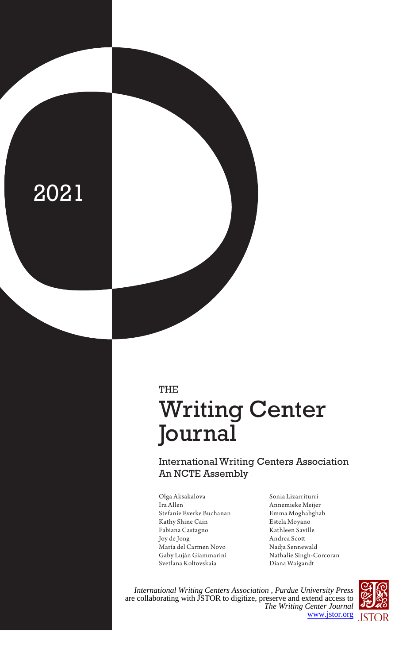# 2021

## THE Writing Center Journal

International Writing Centers Association An NCTE Assembly

- Olga Aksakalova Ira Allen Stefanie Everke Buchanan Kathy Shine Cain Fabiana Castagno Joy de Jong María del Carmen Novo Gaby Luján Giammarini Svetlana Koltovskaia
- Sonia Lizarriturri Annemieke Meijer Emma Moghabghab Estela Moyano Kathleen Saville Andrea Scott Nadja Sennewald Nathalie Singh-Corcoran Diana Waigandt

*International Writing Centers Association , Purdue University Press* are collaborating with JSTOR to digitize, preserve and extend access to *The Writing Center Journal* [www.jstor.org](https://www.jstor.org)

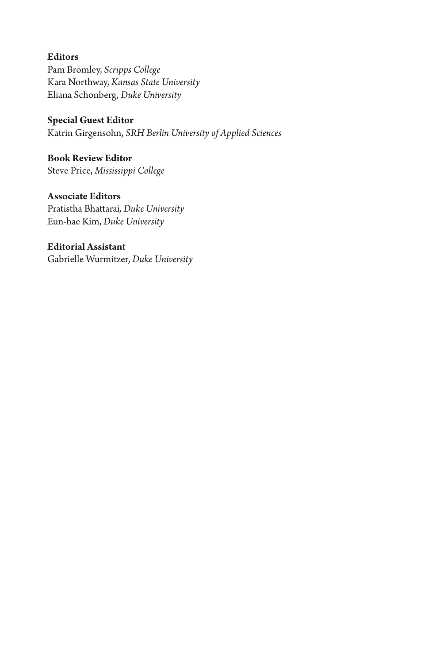**Editors** Pam Bromley, *Scripps College* Kara Northway, *Kansas State University* Eliana Schonberg, *Duke University*

**Special Guest Editor** Katrin Girgensohn, *SRH Berlin University of Applied Sciences*

**Book Review Editor** Steve Price, *Mississippi College*

**Associate Editors** Pratistha Bhattarai*, Duke University* Eun-hae Kim, *Duke University*

**Editorial Assistant** Gabrielle Wurmitzer, *Duke University*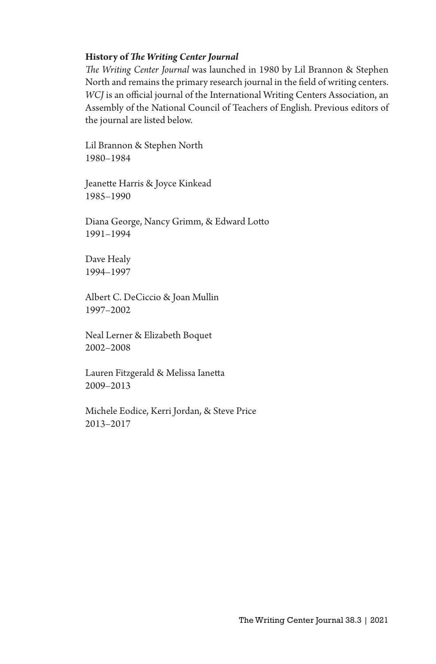#### **History of** *The Writing Center Journal*

*The Writing Center Journal* was launched in 1980 by Lil Brannon & Stephen North and remains the primary research journal in the field of writing centers. *WCJ* is an official journal of the International Writing Centers Association, an Assembly of the National Council of Teachers of English. Previous editors of the journal are listed below.

Lil Brannon & Stephen North 1980–1984

Jeanette Harris & Joyce Kinkead 1985–1990

Diana George, Nancy Grimm, & Edward Lotto 1991–1994

Dave Healy 1994–1997

Albert C. DeCiccio & Joan Mullin 1997–2002

Neal Lerner & Elizabeth Boquet 2002–2008

Lauren Fitzgerald & Melissa Ianetta 2009–2013

Michele Eodice, Kerri Jordan, & Steve Price 2013–2017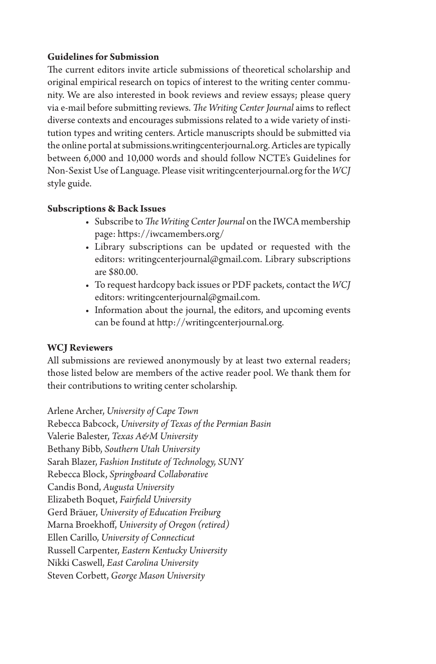### **Guidelines for Submission**

The current editors invite article submissions of theoretical scholarship and original empirical research on topics of interest to the writing center community. We are also interested in book reviews and review essays; please query via e-mail before submitting reviews. *The Writing Center Journal* aims to reflect diverse contexts and encourages submissions related to a wide variety of institution types and writing centers. Article manuscripts should be submitted via the online portal at submissions.writingcenterjournal.org. Articles are typically between 6,000 and 10,000 words and should follow NCTE's Guidelines for Non-Sexist Use of Language. Please visit writingcenterjournal.org for the *WCJ* style guide.

#### **Subscriptions & Back Issues**

- Subscribe to *The Writing Center Journal* on the IWCA membership page: https://iwcamembers.org/
- Library subscriptions can be updated or requested with the editors: writingcenterjournal@gmail.com. Library subscriptions are \$80.00.
- To request hardcopy back issues or PDF packets, contact the *WCJ* editors: writingcenterjournal@gmail.com.
- Information about the journal, the editors, and upcoming events can be found at http://writingcenterjournal.org.

### **WCJ Reviewers**

All submissions are reviewed anonymously by at least two external readers; those listed below are members of the active reader pool. We thank them for their contributions to writing center scholarship.

Arlene Archer, *University of Cape Town* Rebecca Babcock, *University of Texas of the Permian Basin*  Valerie Balester, *Texas A&M University* Bethany Bibb, *Southern Utah University* Sarah Blazer, *Fashion Institute of Technology, SUNY* Rebecca Block, *Springboard Collaborative* Candis Bond, *Augusta University* Elizabeth Boquet, *Fairfield University*  Gerd Bräuer, *University of Education Freiburg* Marna Broekhoff, *University of Oregon (retired)* Ellen Carillo, *University of Connecticut* Russell Carpenter, *Eastern Kentucky University* Nikki Caswell, *East Carolina University* Steven Corbett, *George Mason University*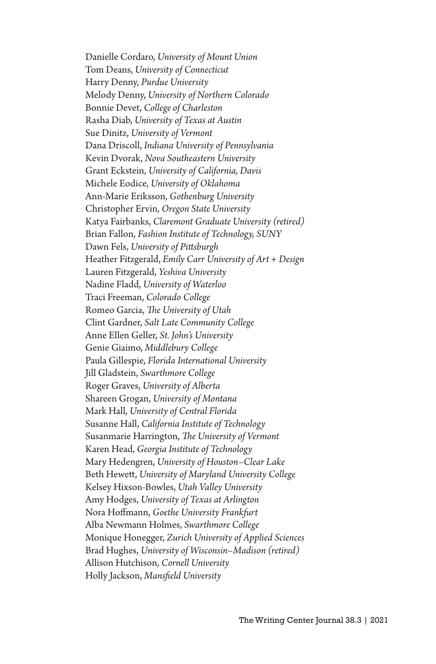Danielle Cordaro, *University of Mount Union* Tom Deans, *University of Connecticut* Harry Denny, *Purdue University* Melody Denny, *University of Northern Colorado* Bonnie Devet, *College of Charleston* Rasha Diab, *University of Texas at Austin* Sue Dinitz, *University of Vermont*  Dana Driscoll, *Indiana University of Pennsylvania* Kevin Dvorak, *Nova Southeastern University* Grant Eckstein, *University of California, Davis* Michele Eodice, *University of Oklahoma* Ann-Marie Eriksson, *Gothenburg University* Christopher Ervin, *Oregon State University*  Katya Fairbanks, *Claremont Graduate University (retired)* Brian Fallon, *Fashion Institute of Technology, SUNY* Dawn Fels, *University of Pittsburgh* Heather Fitzgerald, *Emily Carr University of Art + Design* Lauren Fitzgerald, *Yeshiva University* Nadine Fladd, *University of Waterloo* Traci Freeman, *Colorado College* Romeo Garcia, *The University of Utah* Clint Gardner, *Salt Late Community College* Anne Ellen Geller, *St. John's University* Genie Giaimo, *Middlebury College* Paula Gillespie, *Florida International University* Jill Gladstein, *Swarthmore College*  Roger Graves, *University of Alberta* Shareen Grogan, *University of Montana* Mark Hall, *University of Central Florida*  Susanne Hall, *California Institute of Technology* Susanmarie Harrington, *The University of Vermont* Karen Head, *Georgia Institute of Technology* Mary Hedengren, *University of Houston–Clear Lake* Beth Hewett, *University of Maryland University College* Kelsey Hixson-Bowles, *Utah Valley University* Amy Hodges, *University of Texas at Arlington* Nora Hoffmann, *Goethe University Frankfurt* Alba Newmann Holmes, *Swarthmore College* Monique Honegger, *Zurich University of Applied Sciences* Brad Hughes, *University of Wisconsin–Madison (retired)* Allison Hutchison, *Cornell University* Holly Jackson, *Mansfield University*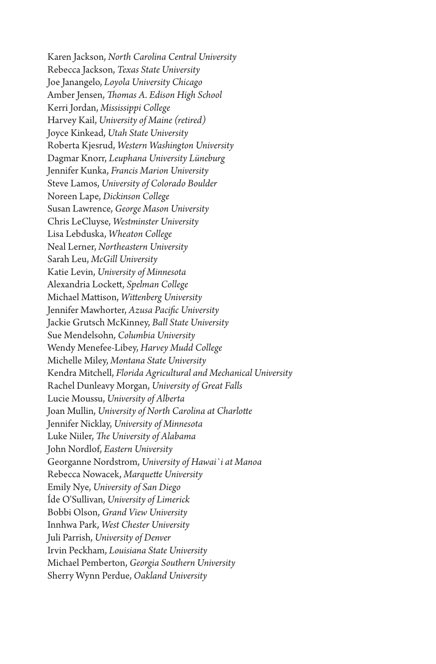Karen Jackson, *North Carolina Central University* Rebecca Jackson, *Texas State University* Joe Janangelo, *Loyola University Chicago*  Amber Jensen, *Thomas A. Edison High School* Kerri Jordan, *Mississippi College* Harvey Kail, *University of Maine (retired)* Joyce Kinkead, *Utah State University*  Roberta Kjesrud, *Western Washington University* Dagmar Knorr, *Leuphana University Lüneburg* Jennifer Kunka, *Francis Marion University* Steve Lamos, *University of Colorado Boulder* Noreen Lape, *Dickinson College* Susan Lawrence, *George Mason University* Chris LeCluyse, *Westminster University*  Lisa Lebduska, *Wheaton College* Neal Lerner, *Northeastern University*  Sarah Leu, *McGill University* Katie Levin, *University of Minnesota* Alexandria Lockett, *Spelman College* Michael Mattison, *Wittenberg University*  Jennifer Mawhorter, *Azusa Pacific University* Jackie Grutsch McKinney, *Ball State University* Sue Mendelsohn, *Columbia University* Wendy Menefee-Libey, *Harvey Mudd College* Michelle Miley, *Montana State University*  Kendra Mitchell, *Florida Agricultural and Mechanical University* Rachel Dunleavy Morgan, *University of Great Falls* Lucie Moussu, *University of Alberta* Joan Mullin, *University of North Carolina at Charlotte*  Jennifer Nicklay, *University of Minnesota* Luke Niiler, *The University of Alabama* John Nordlof, *Eastern University*  Georganne Nordstrom, *University of Hawai`i at Manoa* Rebecca Nowacek, *Marquette University*  Emily Nye, *University of San Diego* Íde O'Sullivan, *University of Limerick* Bobbi Olson, *Grand View University* Innhwa Park, *West Chester University* Juli Parrish, *University of Denver* Irvin Peckham, *Louisiana State University* Michael Pemberton, *Georgia Southern University*  Sherry Wynn Perdue, *Oakland University*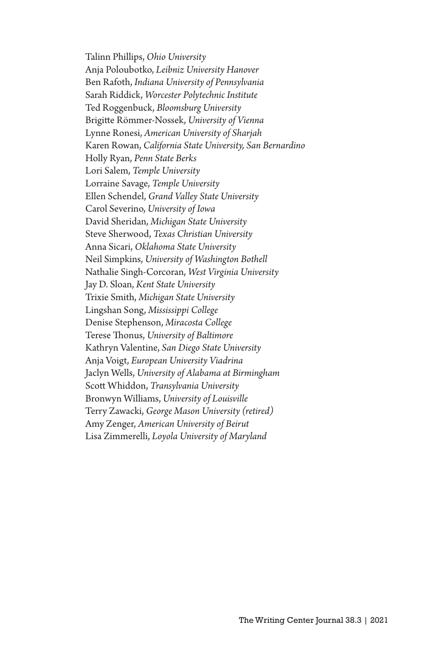Talinn Phillips, *Ohio University* Anja Poloubotko, *Leibniz University Hanover* Ben Rafoth, *Indiana University of Pennsylvania* Sarah Riddick, *Worcester Polytechnic Institute* Ted Roggenbuck, *Bloomsburg University*  Brigitte Römmer-Nossek, *University of Vienna* Lynne Ronesi, *American University of Sharjah* Karen Rowan, *California State University, San Bernardino* Holly Ryan, *Penn State Berks* Lori Salem, *Temple University* Lorraine Savage, *Temple University* Ellen Schendel, *Grand Valley State University* Carol Severino, *University of Iowa*  David Sheridan, *Michigan State University*  Steve Sherwood, *Texas Christian University*  Anna Sicari, *Oklahoma State University* Neil Simpkins, *University of Washington Bothell* Nathalie Singh-Corcoran, *West Virginia University* Jay D. Sloan, *Kent State University* Trixie Smith, *Michigan State University* Lingshan Song, *Mississippi College* Denise Stephenson, *Miracosta College* Terese Thonus, *University of Baltimore* Kathryn Valentine, *San Diego State University*  Anja Voigt, *European University Viadrina* Jaclyn Wells, *University of Alabama at Birmingham* Scott Whiddon, *Transylvania University* Bronwyn Williams, *University of Louisville* Terry Zawacki, *George Mason University (retired)* Amy Zenger, *American University of Beirut* Lisa Zimmerelli, *Loyola University of Maryland*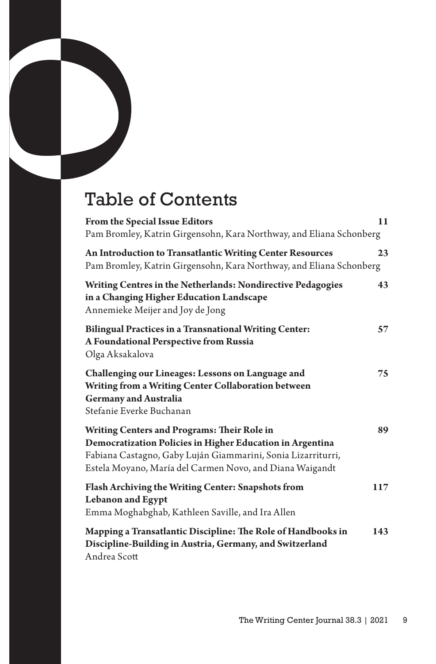## Table of Contents

| From the Special Issue Editors<br>Pam Bromley, Katrin Girgensohn, Kara Northway, and Eliana Schonberg                                                                                                                                | 11  |
|--------------------------------------------------------------------------------------------------------------------------------------------------------------------------------------------------------------------------------------|-----|
| An Introduction to Transatlantic Writing Center Resources<br>Pam Bromley, Katrin Girgensohn, Kara Northway, and Eliana Schonberg                                                                                                     | 23  |
| Writing Centres in the Netherlands: Nondirective Pedagogies<br>in a Changing Higher Education Landscape<br>Annemieke Meijer and Joy de Jong                                                                                          | 43  |
| <b>Bilingual Practices in a Transnational Writing Center:</b><br>A Foundational Perspective from Russia<br>Olga Aksakalova                                                                                                           | 57  |
| Challenging our Lineages: Lessons on Language and<br>Writing from a Writing Center Collaboration between<br><b>Germany and Australia</b><br>Stefanie Everke Buchanan                                                                 | 75  |
| Writing Centers and Programs: Their Role in<br>Democratization Policies in Higher Education in Argentina<br>Fabiana Castagno, Gaby Luján Giammarini, Sonia Lizarriturri,<br>Estela Moyano, María del Carmen Novo, and Diana Waigandt | 89  |
| Flash Archiving the Writing Center: Snapshots from<br><b>Lebanon and Egypt</b><br>Emma Moghabghab, Kathleen Saville, and Ira Allen                                                                                                   | 117 |
| Mapping a Transatlantic Discipline: The Role of Handbooks in<br>Discipline-Building in Austria, Germany, and Switzerland<br>Andrea Scott                                                                                             | 143 |